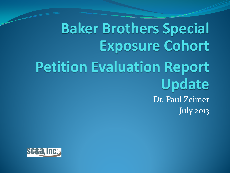## **Baker Brothers Special Exposure Cohort Petition Evaluation Report Update** Dr. Paul Zeimer July 2013

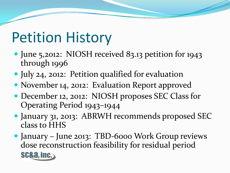### Petition History

- June 5,2012: NIOSH received 83.13 petition for 1943 through 1996
- July 24, 2012: Petition qualified for evaluation
- November 14, 2012: Evaluation Report approved
- December 12, 2012: NIOSH proposes SEC Class for Operating Period 1943–1944
- January 31, 2013: ABRWH recommends proposed SEC class to HHS
- January June 2013: TBD-6000 Work Group reviews dose reconstruction feasibility for residual period **SC&a, inc.**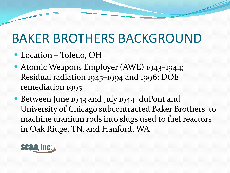#### BAKER BROTHERS BACKGROUND

- Location Toledo, OH
- Atomic Weapons Employer (AWE) 1943–1944; Residual radiation 1945–1994 and 1996; DOE remediation 1995
- Between June 1943 and July 1944, duPont and University of Chicago subcontracted Baker Brothers to machine uranium rods into slugs used to fuel reactors in Oak Ridge, TN, and Hanford, WA

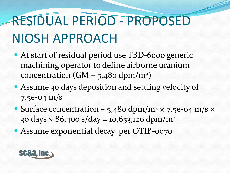# RESIDUAL PERIOD - PROPOSED NIOSH APPROACH

- At start of residual period use TBD-6000 generic machining operator to define airborne uranium concentration  $(GM - 5,480 \text{ dpm/m}^3)$
- Assume 30 days deposition and settling velocity of 7.5e-04 m/s
- Surface concentration 5,480 dpm/m<sup>3</sup>  $\times$  7.5e-04 m/s  $\times$ 30 days  $\times$  86,400 s/day = 10,653,120 dpm/m<sup>2</sup>
- Assume exponential decay per OTIB-0070

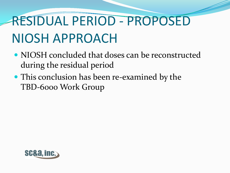# RESIDUAL PERIOD - PROPOSED NIOSH APPROACH

- NIOSH concluded that doses can be reconstructed during the residual period
- This conclusion has been re-examined by the TBD-6000 Work Group

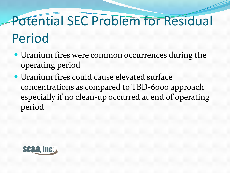# Potential SEC Problem for Residual Period

- Uranium fires were common occurrences during the operating period
- Uranium fires could cause elevated surface concentrations as compared to TBD-6000 approach especially if no clean-up occurred at end of operating period

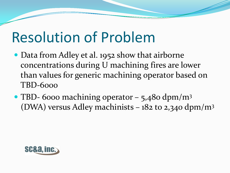## Resolution of Problem

- Data from Adley et al. 1952 show that airborne concentrations during U machining fires are lower than values for generic machining operator based on TBD-6000
- TBD- 6000 machining operator 5,480 dpm/m<sup>3</sup> (DWA) versus Adley machinists –  $182$  to 2,340 dpm/m<sup>3</sup>

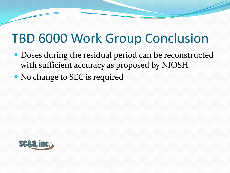#### TBD 6000 Work Group Conclusion

- Doses during the residual period can be reconstructed with sufficient accuracy as proposed by NIOSH
- No change to SEC is required